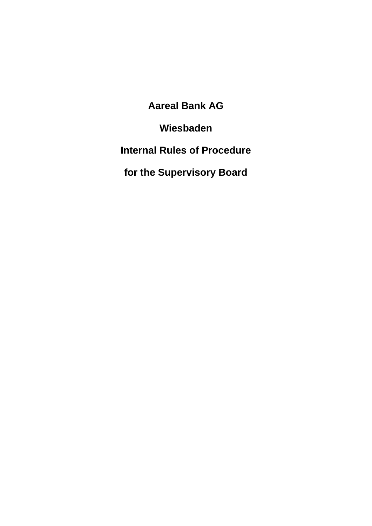**Aareal Bank AG**

**Wiesbaden**

**Internal Rules of Procedure**

**for the Supervisory Board**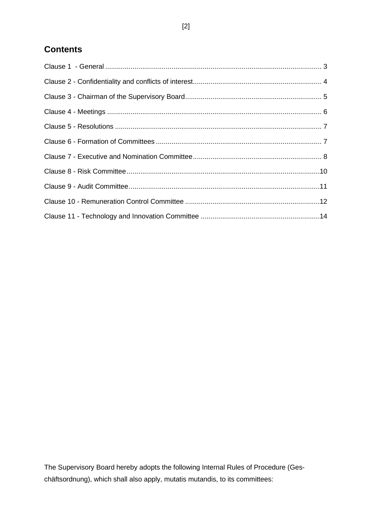# **Contents**

The Supervisory Board hereby adopts the following Internal Rules of Procedure (Geschäftsordnung), which shall also apply, mutatis mutandis, to its committees: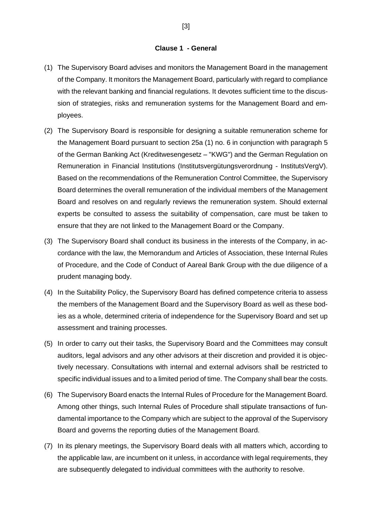#### **Clause 1 - General**

- <span id="page-2-0"></span>(1) The Supervisory Board advises and monitors the Management Board in the management of the Company. It monitors the Management Board, particularly with regard to compliance with the relevant banking and financial regulations. It devotes sufficient time to the discussion of strategies, risks and remuneration systems for the Management Board and employees.
- (2) The Supervisory Board is responsible for designing a suitable remuneration scheme for the Management Board pursuant to section 25a (1) no. 6 in conjunction with paragraph 5 of the German Banking Act (Kreditwesengesetz – "KWG") and the German Regulation on Remuneration in Financial Institutions (Institutsvergütungsverordnung - InstitutsVergV). Based on the recommendations of the Remuneration Control Committee, the Supervisory Board determines the overall remuneration of the individual members of the Management Board and resolves on and regularly reviews the remuneration system. Should external experts be consulted to assess the suitability of compensation, care must be taken to ensure that they are not linked to the Management Board or the Company.
- (3) The Supervisory Board shall conduct its business in the interests of the Company, in accordance with the law, the Memorandum and Articles of Association, these Internal Rules of Procedure, and the Code of Conduct of Aareal Bank Group with the due diligence of a prudent managing body.
- (4) In the Suitability Policy, the Supervisory Board has defined competence criteria to assess the members of the Management Board and the Supervisory Board as well as these bodies as a whole, determined criteria of independence for the Supervisory Board and set up assessment and training processes.
- (5) In order to carry out their tasks, the Supervisory Board and the Committees may consult auditors, legal advisors and any other advisors at their discretion and provided it is objectively necessary. Consultations with internal and external advisors shall be restricted to specific individual issues and to a limited period of time. The Company shall bear the costs.
- (6) The Supervisory Board enacts the Internal Rules of Procedure for the Management Board. Among other things, such Internal Rules of Procedure shall stipulate transactions of fundamental importance to the Company which are subject to the approval of the Supervisory Board and governs the reporting duties of the Management Board.
- (7) In its plenary meetings, the Supervisory Board deals with all matters which, according to the applicable law, are incumbent on it unless, in accordance with legal requirements, they are subsequently delegated to individual committees with the authority to resolve.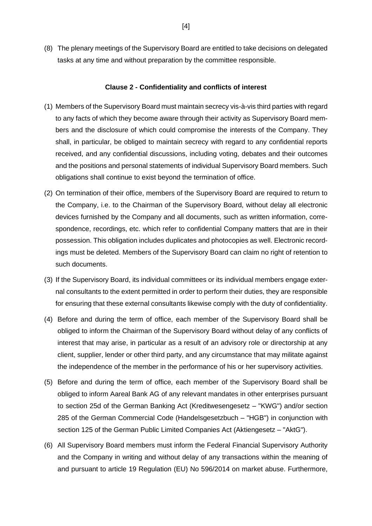(8) The plenary meetings of the Supervisory Board are entitled to take decisions on delegated tasks at any time and without preparation by the committee responsible.

#### **Clause 2 - Confidentiality and conflicts of interest**

- <span id="page-3-0"></span>(1) Members of the Supervisory Board must maintain secrecy vis-à-vis third parties with regard to any facts of which they become aware through their activity as Supervisory Board members and the disclosure of which could compromise the interests of the Company. They shall, in particular, be obliged to maintain secrecy with regard to any confidential reports received, and any confidential discussions, including voting, debates and their outcomes and the positions and personal statements of individual Supervisory Board members. Such obligations shall continue to exist beyond the termination of office.
- (2) On termination of their office, members of the Supervisory Board are required to return to the Company, i.e. to the Chairman of the Supervisory Board, without delay all electronic devices furnished by the Company and all documents, such as written information, correspondence, recordings, etc. which refer to confidential Company matters that are in their possession. This obligation includes duplicates and photocopies as well. Electronic recordings must be deleted. Members of the Supervisory Board can claim no right of retention to such documents.
- (3) If the Supervisory Board, its individual committees or its individual members engage external consultants to the extent permitted in order to perform their duties, they are responsible for ensuring that these external consultants likewise comply with the duty of confidentiality.
- (4) Before and during the term of office, each member of the Supervisory Board shall be obliged to inform the Chairman of the Supervisory Board without delay of any conflicts of interest that may arise, in particular as a result of an advisory role or directorship at any client, supplier, lender or other third party, and any circumstance that may militate against the independence of the member in the performance of his or her supervisory activities.
- (5) Before and during the term of office, each member of the Supervisory Board shall be obliged to inform Aareal Bank AG of any relevant mandates in other enterprises pursuant to section 25d of the German Banking Act (Kreditwesengesetz – "KWG") and/or section 285 of the German Commercial Code (Handelsgesetzbuch – "HGB") in conjunction with section 125 of the German Public Limited Companies Act (Aktiengesetz – "AktG").
- (6) All Supervisory Board members must inform the Federal Financial Supervisory Authority and the Company in writing and without delay of any transactions within the meaning of and pursuant to article 19 Regulation (EU) No 596/2014 on market abuse. Furthermore,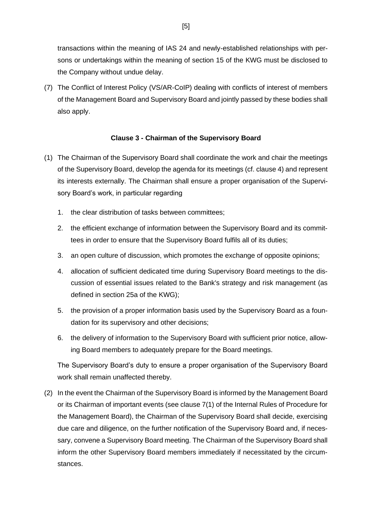transactions within the meaning of IAS 24 and newly-established relationships with persons or undertakings within the meaning of section 15 of the KWG must be disclosed to the Company without undue delay.

(7) The Conflict of Interest Policy (VS/AR-CoIP) dealing with conflicts of interest of members of the Management Board and Supervisory Board and jointly passed by these bodies shall also apply.

## **Clause 3 - Chairman of the Supervisory Board**

- <span id="page-4-0"></span>(1) The Chairman of the Supervisory Board shall coordinate the work and chair the meetings of the Supervisory Board, develop the agenda for its meetings (cf. clause 4) and represent its interests externally. The Chairman shall ensure a proper organisation of the Supervisory Board's work, in particular regarding
	- 1. the clear distribution of tasks between committees;
	- 2. the efficient exchange of information between the Supervisory Board and its committees in order to ensure that the Supervisory Board fulfils all of its duties;
	- 3. an open culture of discussion, which promotes the exchange of opposite opinions;
	- 4. allocation of sufficient dedicated time during Supervisory Board meetings to the discussion of essential issues related to the Bank's strategy and risk management (as defined in section 25a of the KWG);
	- 5. the provision of a proper information basis used by the Supervisory Board as a foundation for its supervisory and other decisions;
	- 6. the delivery of information to the Supervisory Board with sufficient prior notice, allowing Board members to adequately prepare for the Board meetings.

The Supervisory Board's duty to ensure a proper organisation of the Supervisory Board work shall remain unaffected thereby.

(2) In the event the Chairman of the Supervisory Board is informed by the Management Board or its Chairman of important events (see clause 7(1) of the Internal Rules of Procedure for the Management Board), the Chairman of the Supervisory Board shall decide, exercising due care and diligence, on the further notification of the Supervisory Board and, if necessary, convene a Supervisory Board meeting. The Chairman of the Supervisory Board shall inform the other Supervisory Board members immediately if necessitated by the circumstances.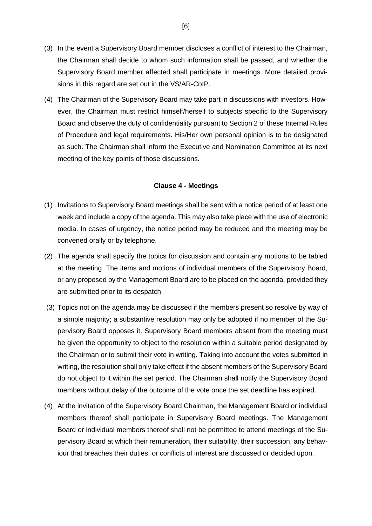- (3) In the event a Supervisory Board member discloses a conflict of interest to the Chairman, the Chairman shall decide to whom such information shall be passed, and whether the Supervisory Board member affected shall participate in meetings. More detailed provisions in this regard are set out in the VS/AR-CoIP.
- (4) The Chairman of the Supervisory Board may take part in discussions with investors. However, the Chairman must restrict himself/herself to subjects specific to the Supervisory Board and observe the duty of confidentiality pursuant to Section 2 of these Internal Rules of Procedure and legal requirements. His/Her own personal opinion is to be designated as such. The Chairman shall inform the Executive and Nomination Committee at its next meeting of the key points of those discussions.

#### **Clause 4 - Meetings**

- <span id="page-5-0"></span>(1) Invitations to Supervisory Board meetings shall be sent with a notice period of at least one week and include a copy of the agenda. This may also take place with the use of electronic media. In cases of urgency, the notice period may be reduced and the meeting may be convened orally or by telephone.
- (2) The agenda shall specify the topics for discussion and contain any motions to be tabled at the meeting. The items and motions of individual members of the Supervisory Board, or any proposed by the Management Board are to be placed on the agenda, provided they are submitted prior to its despatch.
- (3) Topics not on the agenda may be discussed if the members present so resolve by way of a simple majority; a substantive resolution may only be adopted if no member of the Supervisory Board opposes it. Supervisory Board members absent from the meeting must be given the opportunity to object to the resolution within a suitable period designated by the Chairman or to submit their vote in writing. Taking into account the votes submitted in writing, the resolution shall only take effect if the absent members of the Supervisory Board do not object to it within the set period. The Chairman shall notify the Supervisory Board members without delay of the outcome of the vote once the set deadline has expired.
- (4) At the invitation of the Supervisory Board Chairman, the Management Board or individual members thereof shall participate in Supervisory Board meetings. The Management Board or individual members thereof shall not be permitted to attend meetings of the Supervisory Board at which their remuneration, their suitability, their succession, any behaviour that breaches their duties, or conflicts of interest are discussed or decided upon.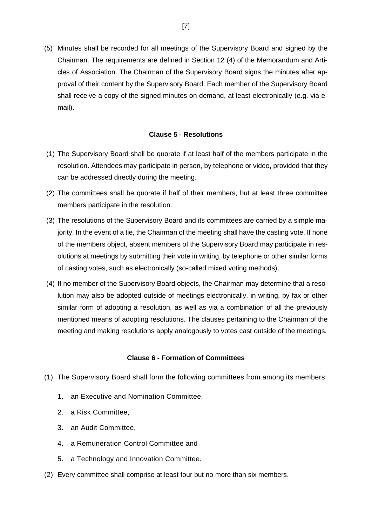(5) Minutes shall be recorded for all meetings of the Supervisory Board and signed by the Chairman. The requirements are defined in Section 12 (4) of the Memorandum and Articles of Association. The Chairman of the Supervisory Board signs the minutes after approval of their content by the Supervisory Board. Each member of the Supervisory Board shall receive a copy of the signed minutes on demand, at least electronically (e.g. via email).

# **Clause 5 - Resolutions**

- <span id="page-6-0"></span>(1) The Supervisory Board shall be quorate if at least half of the members participate in the resolution. Attendees may participate in person, by telephone or video, provided that they can be addressed directly during the meeting.
- (2) The committees shall be quorate if half of their members, but at least three committee members participate in the resolution.
- (3) The resolutions of the Supervisory Board and its committees are carried by a simple majority. In the event of a tie, the Chairman of the meeting shall have the casting vote. If none of the members object, absent members of the Supervisory Board may participate in resolutions at meetings by submitting their vote in writing, by telephone or other similar forms of casting votes, such as electronically (so-called mixed voting methods).
- (4) If no member of the Supervisory Board objects, the Chairman may determine that a resolution may also be adopted outside of meetings electronically, in writing, by fax or other similar form of adopting a resolution, as well as via a combination of all the previously mentioned means of adopting resolutions. The clauses pertaining to the Chairman of the meeting and making resolutions apply analogously to votes cast outside of the meetings.

## **Clause 6 - Formation of Committees**

- <span id="page-6-1"></span>(1) The Supervisory Board shall form the following committees from among its members:
	- 1. an Executive and Nomination Committee,
	- 2. a Risk Committee,
	- 3. an Audit Committee,
	- 4. a Remuneration Control Committee and
	- 5. a Technology and Innovation Committee.
- (2) Every committee shall comprise at least four but no more than six members.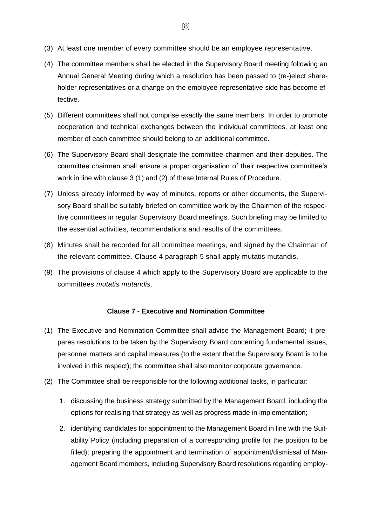- (3) At least one member of every committee should be an employee representative.
- (4) The committee members shall be elected in the Supervisory Board meeting following an Annual General Meeting during which a resolution has been passed to (re-)elect shareholder representatives or a change on the employee representative side has become effective.
- (5) Different committees shall not comprise exactly the same members. In order to promote cooperation and technical exchanges between the individual committees, at least one member of each committee should belong to an additional committee.
- (6) The Supervisory Board shall designate the committee chairmen and their deputies. The committee chairmen shall ensure a proper organisation of their respective committee's work in line with clause 3 (1) and (2) of these Internal Rules of Procedure.
- (7) Unless already informed by way of minutes, reports or other documents, the Supervisory Board shall be suitably briefed on committee work by the Chairmen of the respective committees in regular Supervisory Board meetings. Such briefing may be limited to the essential activities, recommendations and results of the committees.
- (8) Minutes shall be recorded for all committee meetings, and signed by the Chairman of the relevant committee. Clause 4 paragraph 5 shall apply mutatis mutandis.
- (9) The provisions of clause 4 which apply to the Supervisory Board are applicable to the committees *mutatis mutandis*.

# **Clause 7 - Executive and Nomination Committee**

- <span id="page-7-0"></span>(1) The Executive and Nomination Committee shall advise the Management Board; it prepares resolutions to be taken by the Supervisory Board concerning fundamental issues, personnel matters and capital measures (to the extent that the Supervisory Board is to be involved in this respect); the committee shall also monitor corporate governance.
- (2) The Committee shall be responsible for the following additional tasks, in particular:
	- 1. discussing the business strategy submitted by the Management Board, including the options for realising that strategy as well as progress made in implementation;
	- 2. identifying candidates for appointment to the Management Board in line with the Suitability Policy (including preparation of a corresponding profile for the position to be filled); preparing the appointment and termination of appointment/dismissal of Management Board members, including Supervisory Board resolutions regarding employ-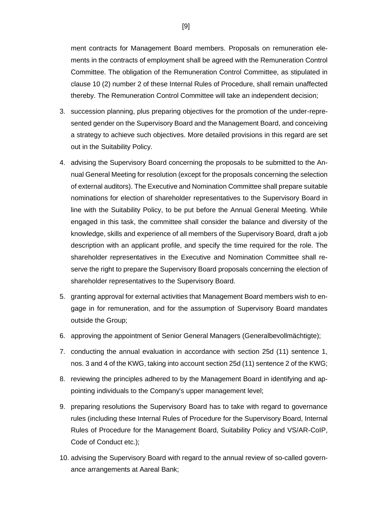ment contracts for Management Board members. Proposals on remuneration elements in the contracts of employment shall be agreed with the Remuneration Control Committee. The obligation of the Remuneration Control Committee, as stipulated in clause 10 (2) number 2 of these Internal Rules of Procedure, shall remain unaffected thereby. The Remuneration Control Committee will take an independent decision;

- 3. succession planning, plus preparing objectives for the promotion of the under-represented gender on the Supervisory Board and the Management Board, and conceiving a strategy to achieve such objectives. More detailed provisions in this regard are set out in the Suitability Policy.
- 4. advising the Supervisory Board concerning the proposals to be submitted to the Annual General Meeting for resolution (except for the proposals concerning the selection of external auditors). The Executive and Nomination Committee shall prepare suitable nominations for election of shareholder representatives to the Supervisory Board in line with the Suitability Policy, to be put before the Annual General Meeting. While engaged in this task, the committee shall consider the balance and diversity of the knowledge, skills and experience of all members of the Supervisory Board, draft a job description with an applicant profile, and specify the time required for the role. The shareholder representatives in the Executive and Nomination Committee shall reserve the right to prepare the Supervisory Board proposals concerning the election of shareholder representatives to the Supervisory Board.
- 5. granting approval for external activities that Management Board members wish to engage in for remuneration, and for the assumption of Supervisory Board mandates outside the Group;
- 6. approving the appointment of Senior General Managers (Generalbevollmächtigte);
- 7. conducting the annual evaluation in accordance with section 25d (11) sentence 1, nos. 3 and 4 of the KWG, taking into account section 25d (11) sentence 2 of the KWG;
- 8. reviewing the principles adhered to by the Management Board in identifying and appointing individuals to the Company's upper management level;
- 9. preparing resolutions the Supervisory Board has to take with regard to governance rules (including these Internal Rules of Procedure for the Supervisory Board, Internal Rules of Procedure for the Management Board, Suitability Policy and VS/AR-CoIP, Code of Conduct etc.);
- 10. advising the Supervisory Board with regard to the annual review of so-called governance arrangements at Aareal Bank;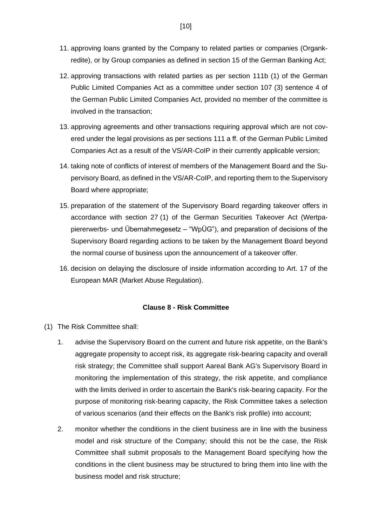- 11. approving loans granted by the Company to related parties or companies (Organkredite), or by Group companies as defined in section 15 of the German Banking Act;
- 12. approving transactions with related parties as per section 111b (1) of the German Public Limited Companies Act as a committee under section 107 (3) sentence 4 of the German Public Limited Companies Act, provided no member of the committee is involved in the transaction;
- 13. approving agreements and other transactions requiring approval which are not covered under the legal provisions as per sections 111 a ff. of the German Public Limited Companies Act as a result of the VS/AR-CoIP in their currently applicable version;
- 14. taking note of conflicts of interest of members of the Management Board and the Supervisory Board, as defined in the VS/AR-CoIP, and reporting them to the Supervisory Board where appropriate;
- 15. preparation of the statement of the Supervisory Board regarding takeover offers in accordance with section 27 (1) of the German Securities Takeover Act (Wertpapiererwerbs- und Übernahmegesetz ‒ "WpÜG"), and preparation of decisions of the Supervisory Board regarding actions to be taken by the Management Board beyond the normal course of business upon the announcement of a takeover offer.
- 16. decision on delaying the disclosure of inside information according to Art. 17 of the European MAR (Market Abuse Regulation).

#### **Clause 8 - Risk Committee**

- <span id="page-9-0"></span>(1) The Risk Committee shall:
	- 1. advise the Supervisory Board on the current and future risk appetite, on the Bank's aggregate propensity to accept risk, its aggregate risk-bearing capacity and overall risk strategy; the Committee shall support Aareal Bank AG's Supervisory Board in monitoring the implementation of this strategy, the risk appetite, and compliance with the limits derived in order to ascertain the Bank's risk-bearing capacity. For the purpose of monitoring risk-bearing capacity, the Risk Committee takes a selection of various scenarios (and their effects on the Bank's risk profile) into account;
	- 2. monitor whether the conditions in the client business are in line with the business model and risk structure of the Company; should this not be the case, the Risk Committee shall submit proposals to the Management Board specifying how the conditions in the client business may be structured to bring them into line with the business model and risk structure;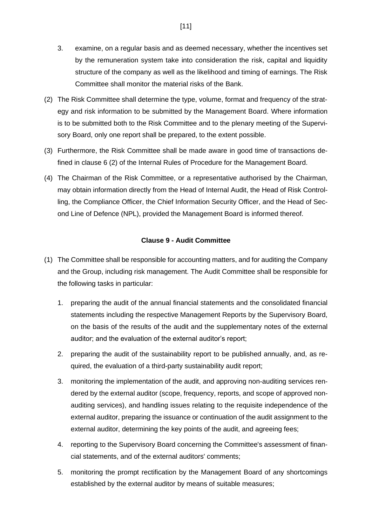- 3. examine, on a regular basis and as deemed necessary, whether the incentives set by the remuneration system take into consideration the risk, capital and liquidity structure of the company as well as the likelihood and timing of earnings. The Risk Committee shall monitor the material risks of the Bank.
- (2) The Risk Committee shall determine the type, volume, format and frequency of the strategy and risk information to be submitted by the Management Board. Where information is to be submitted both to the Risk Committee and to the plenary meeting of the Supervisory Board, only one report shall be prepared, to the extent possible.
- (3) Furthermore, the Risk Committee shall be made aware in good time of transactions defined in clause 6 (2) of the Internal Rules of Procedure for the Management Board.
- (4) The Chairman of the Risk Committee, or a representative authorised by the Chairman, may obtain information directly from the Head of Internal Audit, the Head of Risk Controlling, the Compliance Officer, the Chief Information Security Officer, and the Head of Second Line of Defence (NPL), provided the Management Board is informed thereof.

## **Clause 9 - Audit Committee**

- <span id="page-10-0"></span>(1) The Committee shall be responsible for accounting matters, and for auditing the Company and the Group, including risk management. The Audit Committee shall be responsible for the following tasks in particular:
	- 1. preparing the audit of the annual financial statements and the consolidated financial statements including the respective Management Reports by the Supervisory Board, on the basis of the results of the audit and the supplementary notes of the external auditor; and the evaluation of the external auditor's report;
	- 2. preparing the audit of the sustainability report to be published annually, and, as required, the evaluation of a third-party sustainability audit report;
	- 3. monitoring the implementation of the audit, and approving non-auditing services rendered by the external auditor (scope, frequency, reports, and scope of approved nonauditing services), and handling issues relating to the requisite independence of the external auditor, preparing the issuance or continuation of the audit assignment to the external auditor, determining the key points of the audit, and agreeing fees;
	- 4. reporting to the Supervisory Board concerning the Committee's assessment of financial statements, and of the external auditors' comments;
	- 5. monitoring the prompt rectification by the Management Board of any shortcomings established by the external auditor by means of suitable measures;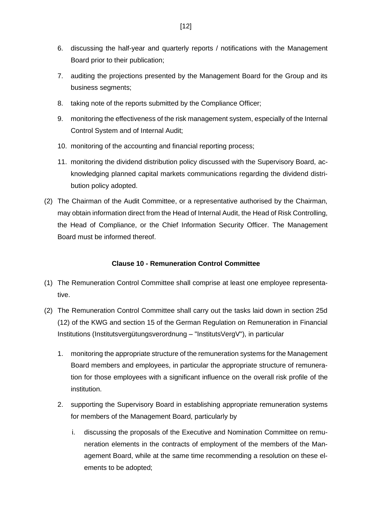- 6. discussing the half-year and quarterly reports / notifications with the Management Board prior to their publication;
- 7. auditing the projections presented by the Management Board for the Group and its business segments;
- 8. taking note of the reports submitted by the Compliance Officer;
- 9. monitoring the effectiveness of the risk management system, especially of the Internal Control System and of Internal Audit;
- 10. monitoring of the accounting and financial reporting process;
- 11. monitoring the dividend distribution policy discussed with the Supervisory Board, acknowledging planned capital markets communications regarding the dividend distribution policy adopted.
- (2) The Chairman of the Audit Committee, or a representative authorised by the Chairman, may obtain information direct from the Head of Internal Audit, the Head of Risk Controlling, the Head of Compliance, or the Chief Information Security Officer. The Management Board must be informed thereof.

## **Clause 10 - Remuneration Control Committee**

- <span id="page-11-0"></span>(1) The Remuneration Control Committee shall comprise at least one employee representative.
- (2) The Remuneration Control Committee shall carry out the tasks laid down in section 25d (12) of the KWG and section 15 of the German Regulation on Remuneration in Financial Institutions (Institutsvergütungsverordnung – "InstitutsVergV"), in particular
	- 1. monitoring the appropriate structure of the remuneration systems for the Management Board members and employees, in particular the appropriate structure of remuneration for those employees with a significant influence on the overall risk profile of the institution.
	- 2. supporting the Supervisory Board in establishing appropriate remuneration systems for members of the Management Board, particularly by
		- i. discussing the proposals of the Executive and Nomination Committee on remuneration elements in the contracts of employment of the members of the Management Board, while at the same time recommending a resolution on these elements to be adopted;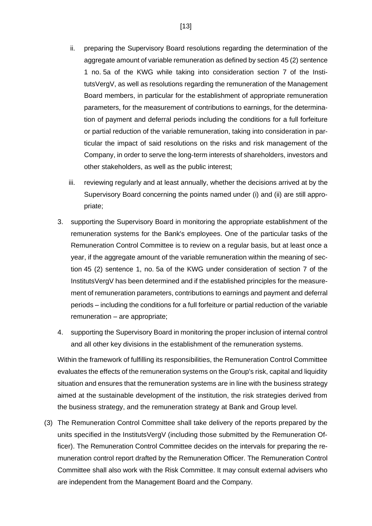- ii. preparing the Supervisory Board resolutions regarding the determination of the aggregate amount of variable remuneration as defined by section 45 (2) sentence 1 no. 5a of the KWG while taking into consideration section 7 of the InstitutsVergV, as well as resolutions regarding the remuneration of the Management Board members, in particular for the establishment of appropriate remuneration parameters, for the measurement of contributions to earnings, for the determination of payment and deferral periods including the conditions for a full forfeiture or partial reduction of the variable remuneration, taking into consideration in particular the impact of said resolutions on the risks and risk management of the Company, in order to serve the long-term interests of shareholders, investors and other stakeholders, as well as the public interest;
- iii. reviewing regularly and at least annually, whether the decisions arrived at by the Supervisory Board concerning the points named under (i) and (ii) are still appropriate;
- 3. supporting the Supervisory Board in monitoring the appropriate establishment of the remuneration systems for the Bank's employees. One of the particular tasks of the Remuneration Control Committee is to review on a regular basis, but at least once a year, if the aggregate amount of the variable remuneration within the meaning of section 45 (2) sentence 1, no. 5a of the KWG under consideration of section 7 of the InstitutsVergV has been determined and if the established principles for the measurement of remuneration parameters, contributions to earnings and payment and deferral periods – including the conditions for a full forfeiture or partial reduction of the variable remuneration – are appropriate;
- 4. supporting the Supervisory Board in monitoring the proper inclusion of internal control and all other key divisions in the establishment of the remuneration systems.

Within the framework of fulfilling its responsibilities, the Remuneration Control Committee evaluates the effects of the remuneration systems on the Group's risk, capital and liquidity situation and ensures that the remuneration systems are in line with the business strategy aimed at the sustainable development of the institution, the risk strategies derived from the business strategy, and the remuneration strategy at Bank and Group level.

(3) The Remuneration Control Committee shall take delivery of the reports prepared by the units specified in the InstitutsVergV (including those submitted by the Remuneration Officer). The Remuneration Control Committee decides on the intervals for preparing the remuneration control report drafted by the Remuneration Officer. The Remuneration Control Committee shall also work with the Risk Committee. It may consult external advisers who are independent from the Management Board and the Company.